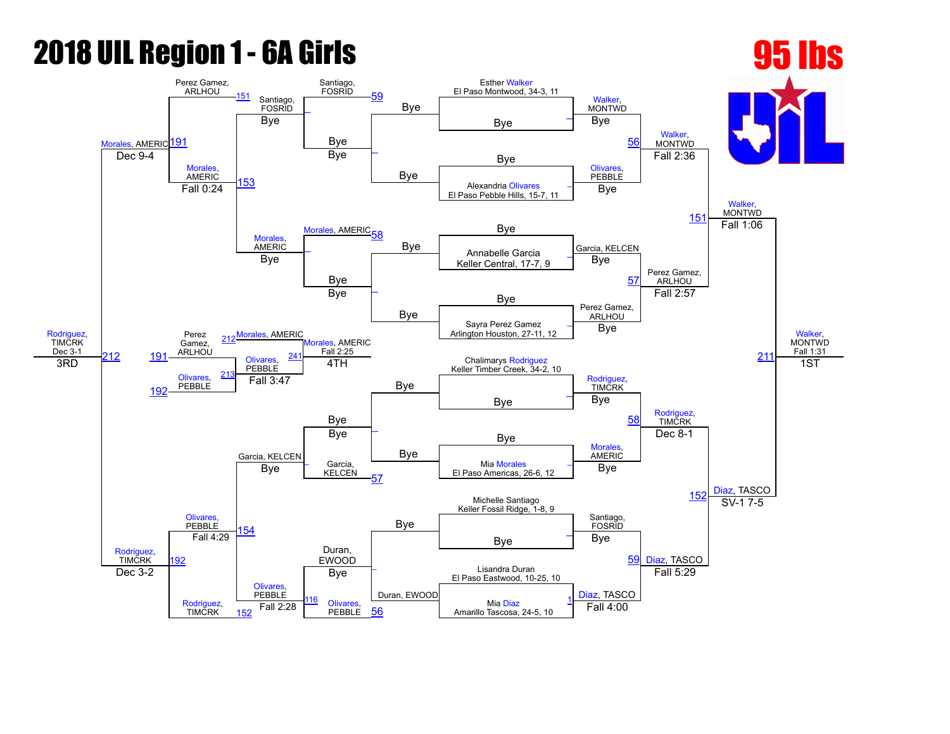#### 2018 UIL Region 1 6A Girls 95 lbs

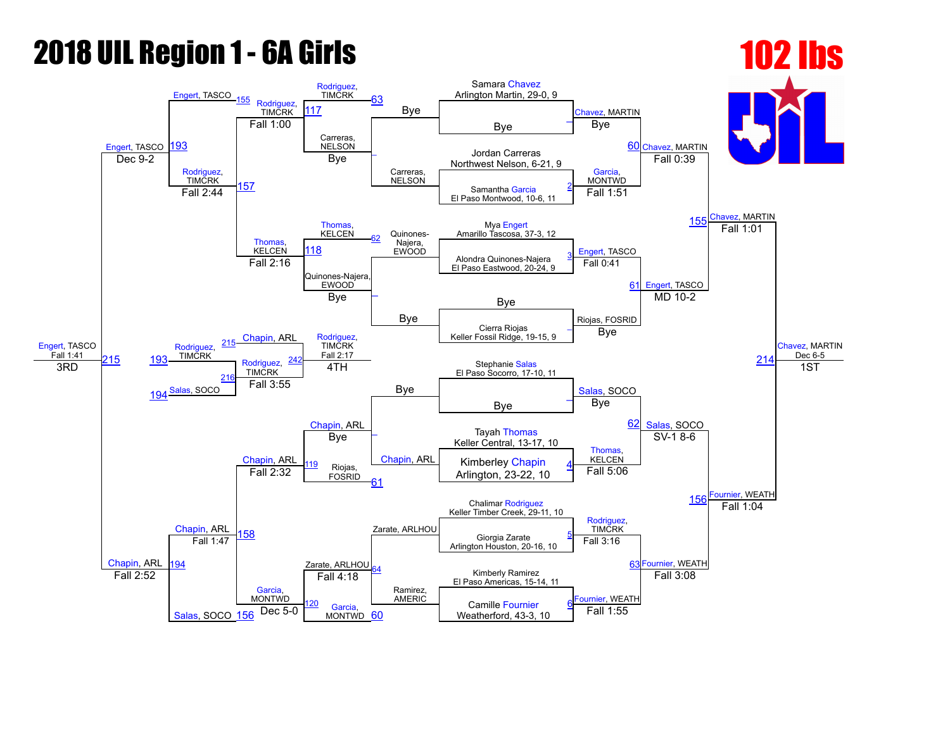## **2018 UIL Region 1 - 6A Girls 102 lbs**

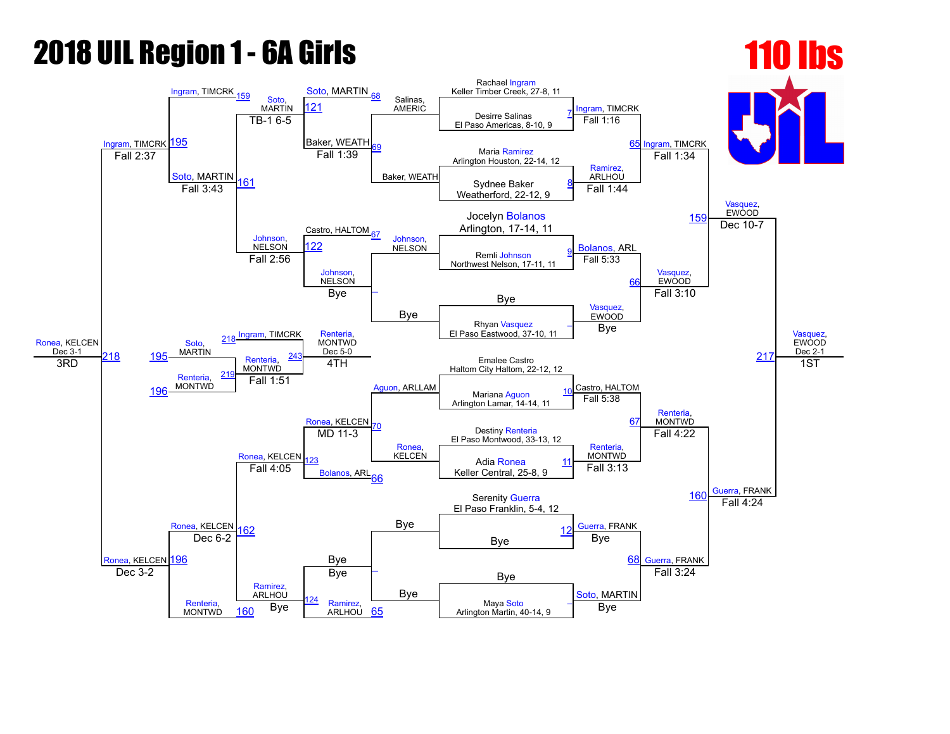# **2018 UIL Region 1 - 6A Girls 110 lbs**

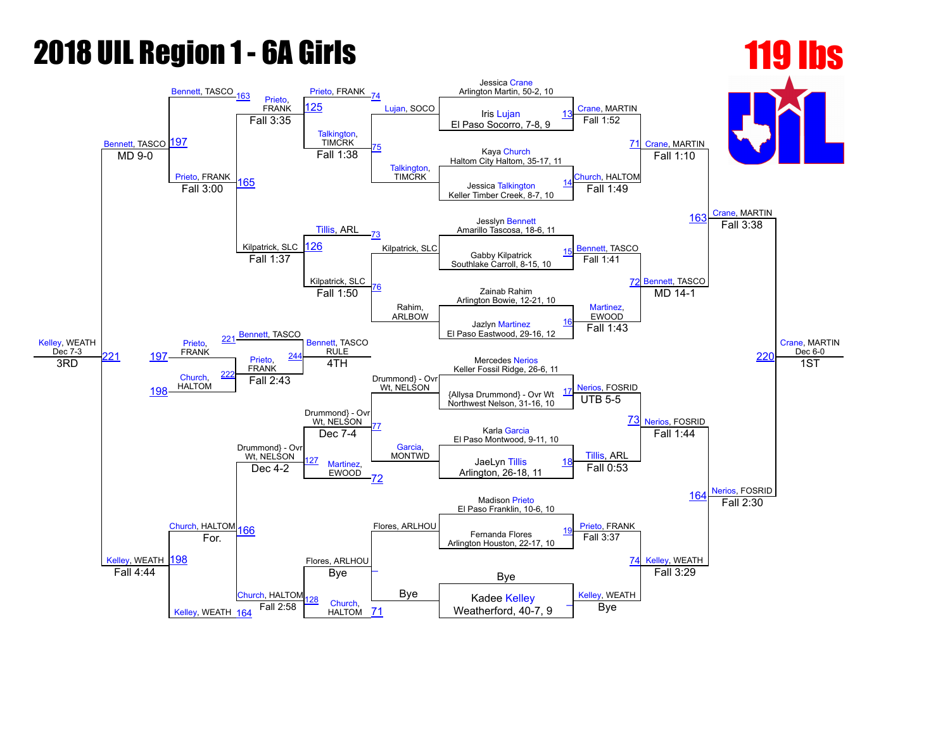# **2018 UIL Region 1 - 6A Girls 119 12018 119 12018**

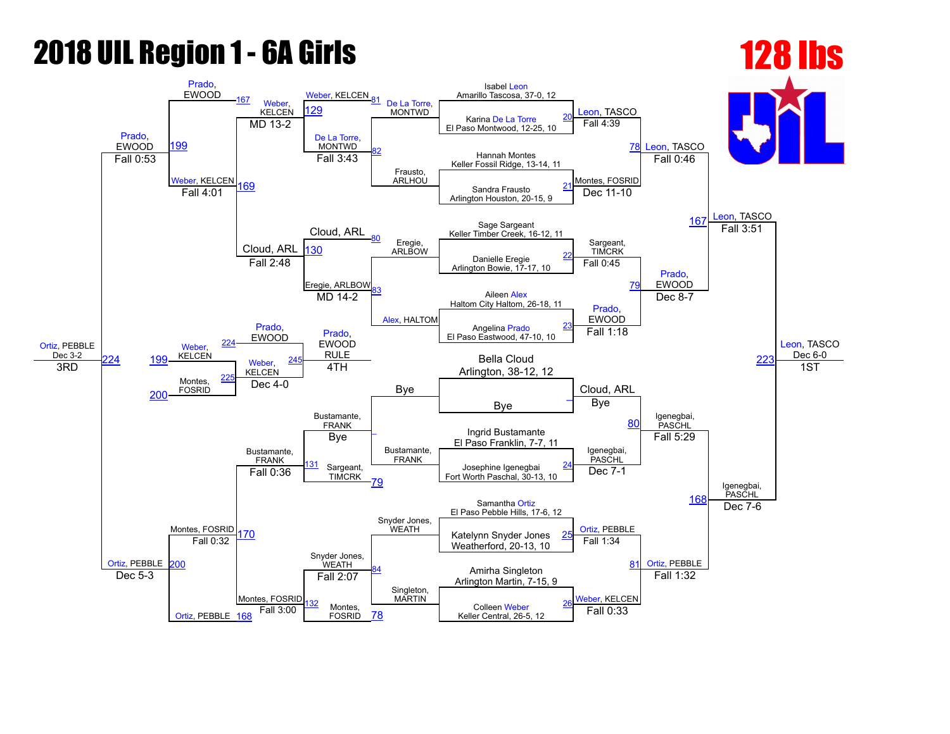## **2018 UIL Region 1 - 6A Girls 128 lbs**

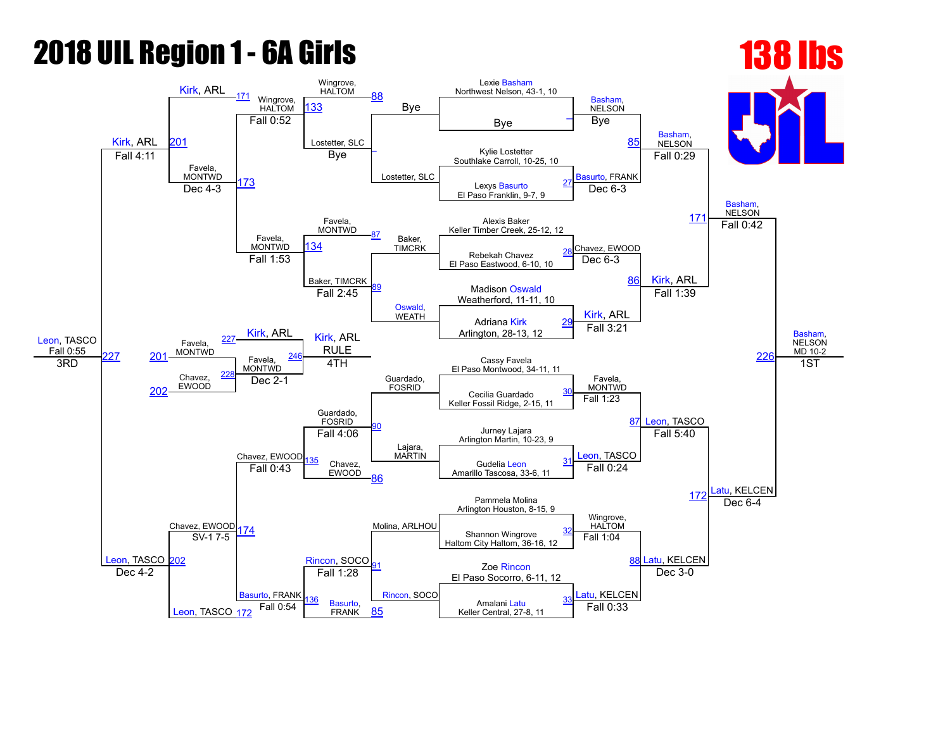#### **2018 UIL Region 1 - 6A Girls 138 lbs** 138 lbs

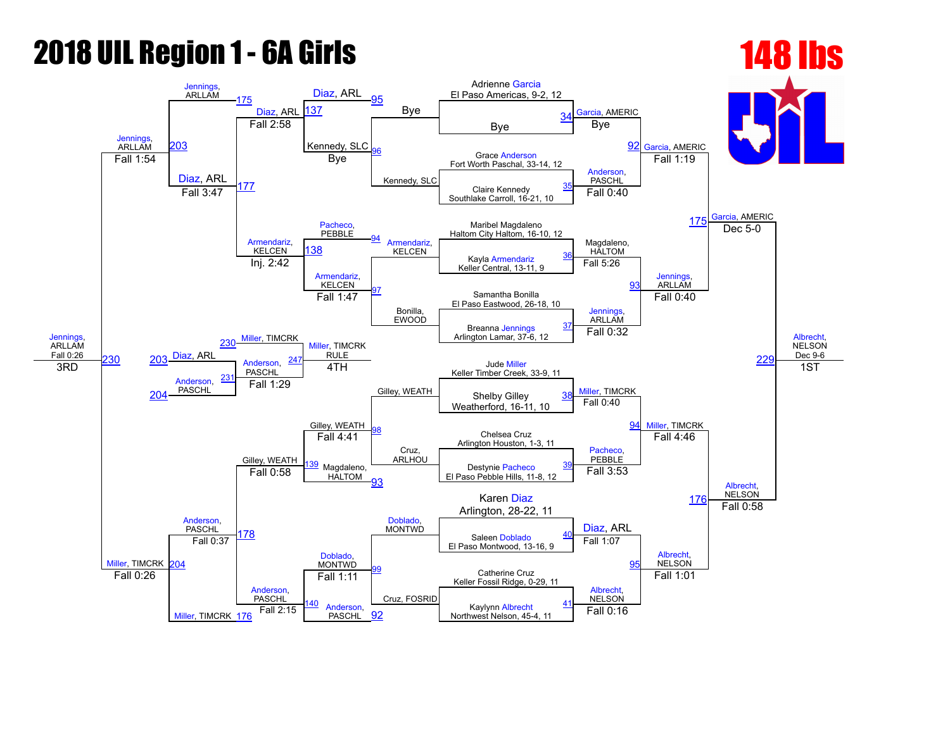# **2018 UIL Region 1 - 6A Girls 148 lbs**

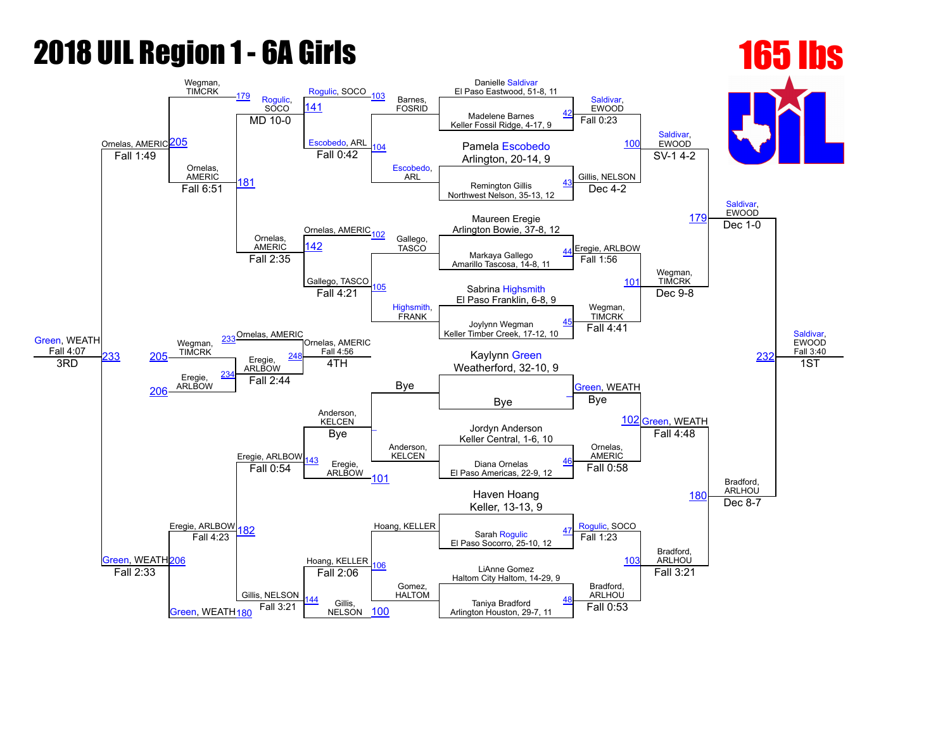# **2018 UIL Region 1 - 6A Girls 165 lbs**

#### [Green,](javascript:viewProfile(651318096)) WEATH Fall 4:07 Ornelas, AMERIC Wegman, TIMCRK [179](javascript:openBoutSheet(17,) [Rogulic,](javascript:viewProfile(1087198096)) **SOCO** [Rogulic,](javascript:viewProfile(1087198096)) SOCO [103](javascript:openBoutSheet(15,) Barnes, FOSRID Danielle [Saldivar](javascript:viewProfile(1768615096)) El Paso Eastwood, 51-8, 11 [Saldivar](javascript:viewProfile(1768615096)), **EWOOD** [Saldivar](javascript:viewProfile(1768615096)), EWOOD [Saldivar,](javascript:viewProfile(1768615096))<br>EWOOD [Saldivar,](javascript:viewProfile(1768615096)) EWOOD Fall 3:40 [205](javascript:openBoutSheet(25,) [141](javascript:openBoutSheet(18,) Madelene Barnes Keller Fossil Ridge, 4-17, 9 [42](javascript:openBoutSheet(1,)  $MD$  10-0 [Escobedo](javascript:viewProfile(1095085009)), ARL [104](javascript:openBoutSheet(10,) [Escobedo](javascript:viewProfile(1095085009)), ARL Fall 0:23 Pamela Escobedo de [100](javascript:openBoutSheet(9,) Fall 1:49 **Fall 0:42 Fall 0:42 Arlington, 20-14, 9** Ornelas, AMERIC [181](javascript:openBoutSheet(23,) Fall 0:42 Gillis, NELSON  $SV-1$  4-2 Remington Gillis Northwest Nelson, 35-13, 12 [43](javascript:openBoutSheet(2,) Fall 6:51 Ornelas, AMERIC<sub>102</sub> Dec 4-2 Maureen Eregie **[179](javascript:openBoutSheet(17,)** Arlington Bowie, 37-8, 12 Ornelas, AMERIC Gallego,<br>TASCO Eregie, ARLBOW Dec  $1-0$ [142](javascript:openBoutSheet(19,) Markaya Gallego Amarillo Tascosa, 14-8, 11 [44](javascript:openBoutSheet(3,) Fall 2:35 Gallego, TASCO [105](javascript:openBoutSheet(12,) [Highsmith](javascript:viewProfile(281665132)), FRANK Fall 1:56 [101](javascript:openBoutSheet(11,) Wegman, **TIMCRK** Sabrina [Highsmith](javascript:viewProfile(281665132)) El Paso Franklin, 6-8, 9 [233](javascript:openBoutSheet(28,) Ornelas, AMERIC<br>
Ornelas, AMERIC Fall 4:21 Wegman, TIMCRK Dec 9-8 [232](javascript:openBoutSheet(29,) Joylynn Wegman Keller Timber Creek, 17-12, 10 [45](javascript:openBoutSheet(4,) Wegman, TIMCRK Fall 4:56 Bye Fall 4:41 [205](javascript:openBoutSheet(25,) <sup>IIMCRK</sup> Eregie, ARLBOW Kaylynn [Green](javascript:viewProfile(651318096))  $\overline{AB}$   $\overline{BC}$   $\overline{BC}$   $\overline{BC}$   $\overline{BC}$   $\overline{BC}$   $\overline{BC}$   $\overline{BC}$   $\overline{BC}$   $\overline{BC}$   $\overline{BC}$   $\overline{BC}$   $\overline{BC}$   $\overline{BC}$   $\overline{BC}$   $\overline{BC}$   $\overline{BC}$   $\overline{BC}$   $\overline{BC}$   $\overline{BC}$   $\overline{BC}$   $\overline{BC}$   $\overline{BC}$   $\overline{BC}$   $\overline{$ Eregie, **ARLBOW** [234](javascript:openBoutSheet(27,) 4TH [Green,](javascript:viewProfile(651318096)) WEATH 102 [Green,](javascript:viewProfile(651318096)) WEATH 1ST [206](javascript:openBoutSheet(26,) Fall 2:44 Bye [\\_](javascript:openBoutSheet(5,) Eregie, ARLBOW Anderson, **KELCEN** Anderson, KELCEN<sup></sup> Bye [Green,](javascript:viewProfile(651318096)) WEATH<sub>[206](javascript:openBoutSheet(26,)</sub> Eregie, ARLBOW Jordyn Anderson Keller Central, 1-6, 10 Bye Ornelas, AMERIC Fall 4:48 Bradford, **ARLHOU** 43 Eregie, ARLBOW Diana Ornelas El Paso Americas, 22-9, 12 [46](javascript:openBoutSheet(6,) Fall 0:54 [101](javascript:openBoutSheet(11,) Fall 0:58 [180](javascript:openBoutSheet(20,) Hoang, KELLER Haven Hoang Keller, 13-13, 9 [182](javascript:openBoutSheet(24,) Hoang, KELLER<br>
El Paso Socorro, 25-10, 12 Fall 1:23 Dec  $8-7$ [47](javascript:openBoutSheet(7,) Fall 4:23 [106](javascript:openBoutSheet(16,) Gomez, HALTOM Fall 1:23 **10** Bradford, **ARLHOU** LiAnne Gomez Haltom City Haltom, 14-29, 9 Fall 2:33 [Green,](javascript:viewProfile(651318096)) WEATH<sub>[180](javascript:openBoutSheet(20,)</sub> Gillis, NELSON Fall 2:06 Bradford, ARLHOU Fall 3:21 Gillis. NELSON 100 Taniya Bradford Fall 3:21  $\begin{array}{|c|c|c|c|c|}\n\hline\n\text{Fall 3:21} & \text{Gillis,} \\
\hline\n\text{NELSON} & \text{100} \\
\hline\n\end{array}$  $\begin{array}{|c|c|c|c|c|}\n\hline\n\text{Fall 3:21} & \text{Gillis,} \\
\hline\n\text{NELSON} & \text{100} \\
\hline\n\end{array}$  $\begin{array}{|c|c|c|c|c|}\n\hline\n\text{Fall 3:21} & \text{Gillis,} \\
\hline\n\text{NELSON} & \text{100} \\
\hline\n\end{array}$  Arlington Houston, 29-7, 11 [48](javascript:openBoutSheet(8,)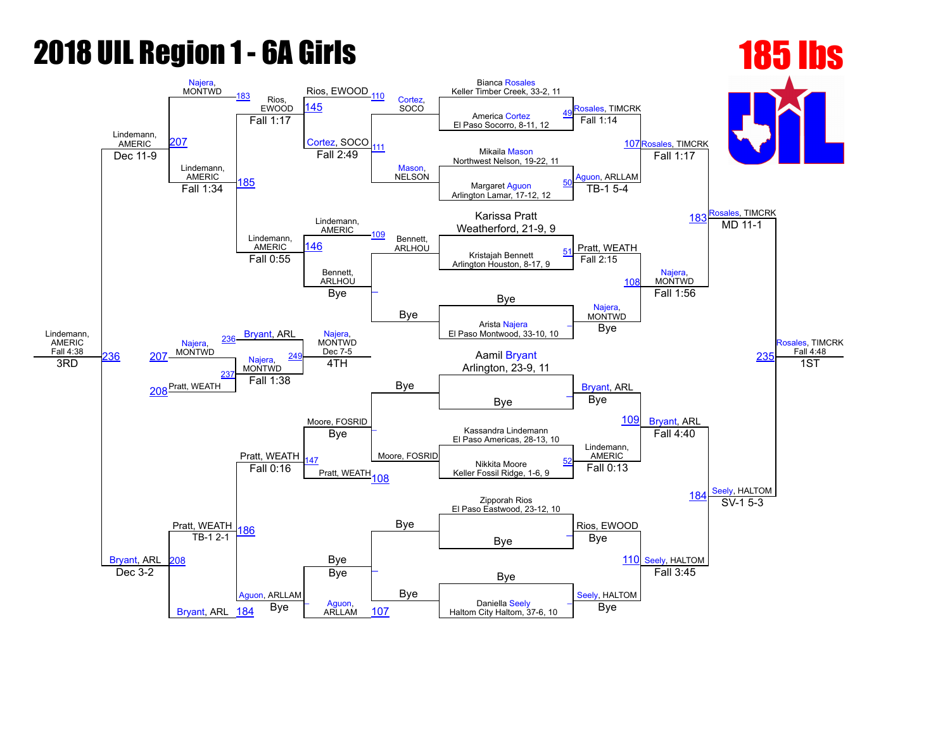# **2018 UIL Region 1 - 6A Girls 185 lbs** 185 **185 lbs**